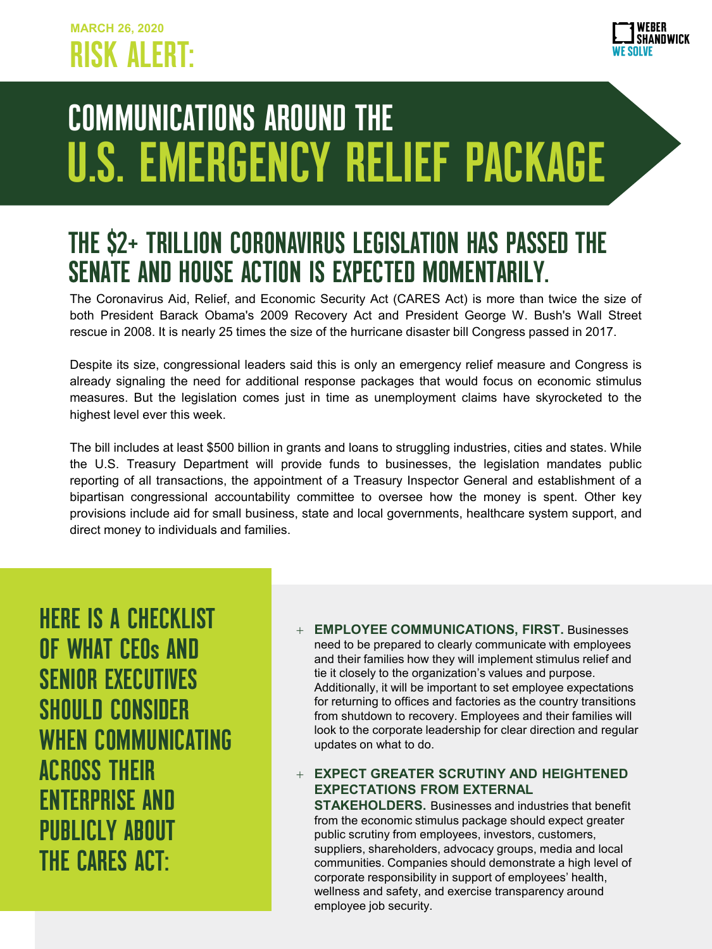

## COMMUNICATIONS AROUND THE U.S. EMERGENCY RELIEF PACKAGE

## THE \$2+ TRILLION CORONAVIRUS LEGISLATION HAS PASSED THE SENATE AND HOUSE ACTION IS EXPECTED MOMENTARILY.

The Coronavirus Aid, Relief, and Economic Security Act (CARES Act) is more than twice the size of both President Barack Obama's 2009 Recovery Act and President George W. Bush's Wall Street rescue in 2008. It is nearly 25 times the size of the hurricane disaster bill Congress passed in 2017.

Despite its size, congressional leaders said this is only an emergency relief measure and Congress is already signaling the need for additional response packages that would focus on economic stimulus measures. But the legislation comes just in time as unemployment claims have skyrocketed to the highest level ever this week.

The bill includes at least \$500 billion in grants and loans to struggling industries, cities and states. While the U.S. Treasury Department will provide funds to businesses, the legislation mandates public reporting of all transactions, the appointment of a Treasury Inspector General and establishment of a bipartisan congressional accountability committee to oversee how the money is spent. Other key provisions include aid for small business, state and local governments, healthcare system support, and direct money to individuals and families.

HERE IS A CHECKLIST OF WHAT CEOs AND SENIOR EXECUTIVES SHOULD CONSIDER WHEN COMMUNICATING ACROSS THEIR ENTERPRISE AND PUBLICLY ABOUT THE CARES ACT:

+ **EMPLOYEE COMMUNICATIONS, FIRST.** Businesses need to be prepared to clearly communicate with employees and their families how they will implement stimulus relief and tie it closely to the organization's values and purpose. Additionally, it will be important to set employee expectations for returning to offices and factories as the country transitions from shutdown to recovery. Employees and their families will look to the corporate leadership for clear direction and regular updates on what to do.

## + **EXPECT GREATER SCRUTINY AND HEIGHTENED EXPECTATIONS FROM EXTERNAL**

**STAKEHOLDERS.** Businesses and industries that benefit from the economic stimulus package should expect greater public scrutiny from employees, investors, customers, suppliers, shareholders, advocacy groups, media and local communities. Companies should demonstrate a high level of corporate responsibility in support of employees' health, wellness and safety, and exercise transparency around employee job security.